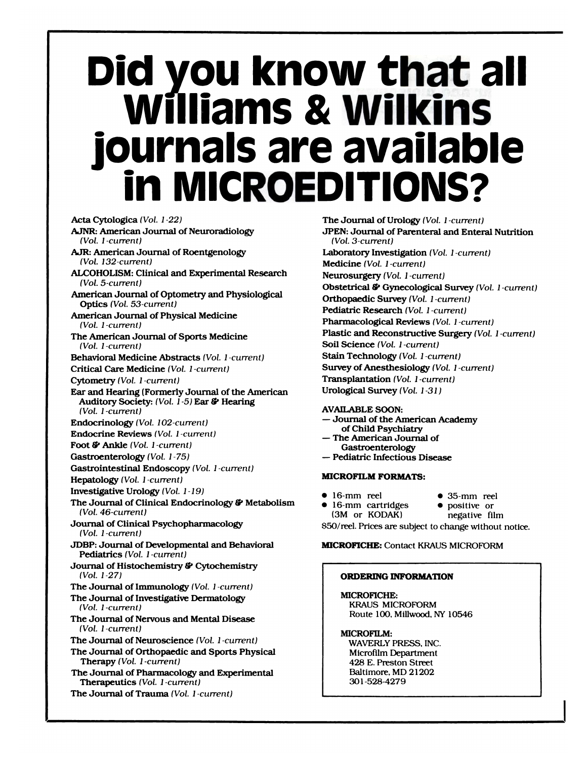# **Did you know that all Williams & Wilkins journals are available in MICROEDITIONS?**

Acta Cytologica *(Vol. 1 -22)* **AJNR:** American Journal of Neuroradiology *(Vol. 1 -current)* **AJR:** American Journal of Roentgenology *(Vol. 132-current)* ALCOHOLISM: Clinical and Experimental Research *(Vol. 5-current)* American Journal of Optometry and Physiological Optics *(Vol. 53-current)* American Journal of Physical Medicine *(Vol. 1 -current)* The American Journal of Sports Medicine *(Vol. 1 -current)* Behavioral Medicine Abstracts *(Vol. 1 -current)* Critical Care Medicine *(Vol. 1 -current)* Cytometry *(Vol. 1 -current)* Ear and Hearing (Formerly Journal of the American Auditory Society: *(Vol.* 1-5) Ear & Hearing *(Vol. 1 -current)* Endocrinology *(Vol. 102-current)* Endocrine Reviews *(Vol. 1 -current)* Foot i;' Ankle *(Vol. 1 -current)* Gastroenterology *(Vol. 1 -75)* Gastrointestinal Endoscopy *(Vol. 1 -current)* Hepatology *(Vol. 1 -current)* Investigative Urology *(Vol.1-19)* The Journal of Clinical Endocrinology & Metabolism *(Vol. 46-current)* Journal of Clinical Psychopharmacology *(Vol. 1 -current)* JDBP: Journal of Developmental and Behavioral Pediatrics *(Vol. 1 -current)* Journal of Histochemistry & Cytochemistry *(Vol. 1-27)* The Journal of Immunology *(Vol. 1 -current)* The Journal of Investigative Dermatology *(Vol. 1 -current)* The Journal of Nervous and Mental Disease *(Vol. 1 -current)* The Journal of Neuroscience *(Vol. 1 -current)* The Journal of Orthopaedic and Sports Physical Therapy *(VoL 1 -current)* The Journal of Pharmacology and Experimental Therapeutics *(VoL 1 -current)* The Journal of Trauma *(Vol. 1 -current)*

The Journal of Urology *(Vol. 1 -current)* JPEN: Journal of Parenteral and Enteral Nutrition *(Vol. 3-current)* Laboratory Investigation *(Vol. 1 -current)* Medicine *(Vol. 1 -current)* Neurosurgery *(Vol. 1 -current)* Obstetrical 1' Gynecological Survey *(Vol. 1 -current)* Orthopaedic Survey *(Vol. 1 -current)* Pediatric Research *(VoL 1 -current)* Pharmacological Reviews *(Vol. 1 -current)* Plastic and Reconstructive Surgery *(Vol. 1 -current)* Soil Science *(VoL 1 -current)* Stain Technology *(VoL 1 -current)* Survey of Anesthesiology *(Vol. 1 -current)* Transplantation *(Vol. 1 -current)* Urological Survey *(Vol. 1-31)*

AVAILABLE SOON:

- **-** Journal of the American Academy of Child Psychiatry
- **-** The American Journal of Gastroenterology
- **-** Pediatric Infectious Disease

### **MICROFILM FORMATS:**

- . 16-mm reel . 35-mm reel
	-
- 16-mm cartridges positive or
- (3M or KODAK) negative film \$50/reel. Prices are subject to change without notice.

#### **MICROFICHE:** Contact KRAUS MICROFORM

#### ORDERING INFORMATION

MICROFICHE: **KRAUS** MICROFORM Route 100. Millwood, NY 10546

#### MICROFILM:

WAVERLY PRESS, INC. Microfilm Department 428 E. Preston Street Baltimore, MD 21202 301-528-4279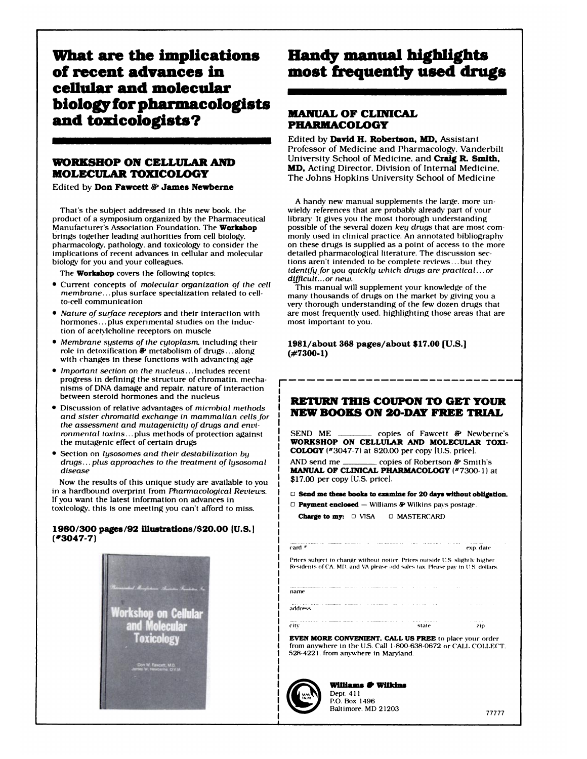What are the **implications of recent advances in cellular** and molecular **biology for pharmacologists MANUAL OF CLINICAL** and toxicologists? PHARMACOLOGY

#### **WORKSHOP ON CELLULAR AND MOLECULAR TOXICOLOGY**

Edited by **Don Fawcett & James Newberne** 

That's the subject addressed in this new book. the product of a symposium organized by the Pharmaceutical Manufacturer's Association Foundation. The Workshop brings together leading authorities from cell biology. pharmacology. pathology. and toxicology to consider the implications of recent advances in cellular and molecular biology for you and your colleagues.

The **Workshop** covers the following topics:

- . Current concepts of *molecular organization of the cell membrane.* **. .** plus surface specialization related to cellto-cell communication
- *Nature of surface receptors* and their interaction with hormones...plus experimental studies on the induction of acetylcholine receptors on muscle
- **S** *Membrane systems ofihe cytoplasm.* including their role In detoxification *&'* metabolism of drugs **. . .** along with changes in these functions with advancing age
- . *Important section on the nucleus.* **. .** Includes recent progress in defining the structure of chromatin. mechanisms of DNA damage and repair. nature of interaction between steroid hormones and the nucleus
- . Discussion of relative advantages of *microbial methods and sister chromatid exchange in mammalian cells for the assessment and mutagenicitti ofdrugs and envi ronmental toxins.* **. .** plus methods of protection against the mutagenic effect of certain drugs
- . Section on *lysosomes and their destabilization by drugs.* **. .** *plus approaches to the treatment of lysosomal disease*

Now the results of this unique study are available to you in a hardbound overprint from *Pharmacological Reviews.* If you want the latest Information on advances in toxicology, this is one meeting you can't afford to miss.

#### 1980/300 pages/92 lllustrations/\$20.OO **(U.S.J** (#3047.7)



### Handy manual highlights most frequently used drugs

Edited by David H. Robertson, MD, Assistant Professor of Medicine and Pharmacology. Vanderbilt University School of Medicine. and Craig P. **SmIth, MD,** Acting Director. Division of Internal Medicine. The Johns Hopkins University School of Medicine

A handy new manual supplements the large. more unwieldy references that are probably already part of your library It gives you the most thorough understanding possible of the several dozen key drugs that are most commonly used in clinical practice. An annotated bibliography on these drugs is supplied as a point of access to the more detailed pharmacological literature. The discussion sections aren't intended to be complete reviews...but they *identifyfor you quickly which drugs are practical.* **. .** *or difficult.* **. .** *or new.*

This manual will supplement your knowledge of the many thousands of drugs on the market by giving you a very thorough understanding of the few dozen drugs that are most frequently used. highlighting those areas that are most important to you.

#### **1981/about 368** pages/about \$17.00 [U.S.] **(#7300-1)**

#### **RETURN THIS** COUPON TO GET YOUR NEW BOOKS **ON** 20-DAY FREE TRIAL

SEND ME copies of Fawcett & Newberne's **WORKSHOP ON CELLULAR AND MOLECULAR TOXI-COLOGY** (#3047.7) at \$20.00 per copy lu.s. pricel.

AND send me copies of Robertson & Smith's **MANUAL OF CLINICAL PHARMACOLOGY (#7300-1) at** \$17.00 per copy [U.S. pricel.

0 Send me these books to examine for 20 days without **obligation.** 0 Payment enclosed - Williams &' Wilkins pays postage.

Charge to my:  $\Box$  VISA  $\Box$  MASTERCARD

card **#** exp. date

**Prices** subject to change without notice. Prices outside U.S. slightly higher Residents of CA. MD. and VA please add sales tax. Please pay in U.S. dollars

name address

(a) the city of the contract of the state of the state of the state of the state of the state of the state of the state of the state of the state of the state of the state of the state of the state of the state of the stat

zip

EVEN MORE CONVENIENT. CALL US FREE to place your order from anywhere in the U.S. Call 1-800-638-0672 or CALL COLLECT. 528-4221. from anywhere in Maryland.



**Williams & Wilkins**<br>Dept. 411 P.O. Box 1496

----- *-*